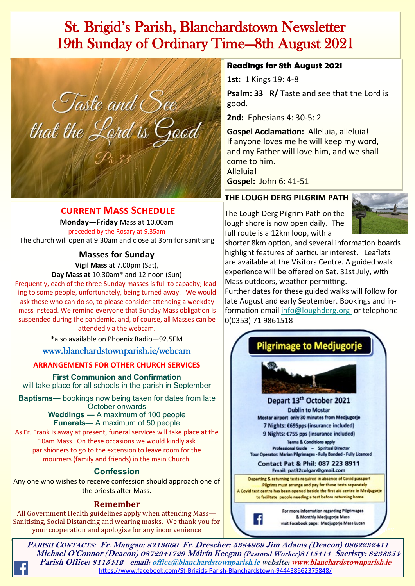## St. Brigid's Parish, Blanchardstown Newsletter 19th Sunday of Ordinary Time—8th August 2021



#### **current Mass Schedule**

**Monday—Friday** Mass at 10.00am preceded by the Rosary at 9.35am The church will open at 9.30am and close at 3pm for sanitising

**Masses for Sunday**

**Vigil Mass** at 7.00pm (Sat),

**Day Mass at** 10.30am\* and 12 noon (Sun)

Frequently, each of the three Sunday masses is full to capacity; leading to some people, unfortunately, being turned away. We would ask those who can do so, to please consider attending a weekday mass instead. We remind everyone that Sunday Mass obligation is suspended during the pandemic, and, of course, all Masses can be attended via the webcam.

\*also available on Phoenix Radio—92.5FM

[www.blanchardstownparish.ie/webcam](http://www.blanchardstownparish.ie/webcam)

**ARRANGEMENTS FOR OTHER CHURCH SERVICES** 

**First Communion and Confirmation** will take place for all schools in the parish in September

**Baptisms—** bookings now being taken for dates from late October onwards

**Weddings —** A maximum of 100 people **Funerals—** A maximum of 50 people

As Fr. Frank is away at present, funeral services will take place at the 10am Mass. On these occasions we would kindly ask parishioners to go to the extension to leave room for the mourners (family and friends) in the main Church.

#### **Confession**

Any one who wishes to receive confession should approach one of the priests after Mass.

#### **Remember**

All Government Health guidelines apply when attending Mass— Sanitising, Social Distancing and wearing masks. We thank you for your cooperation and apologise for any inconvenience

#### **Readings for 8th August 2021**

**1st:** 1 Kings 19: 4-8

**Psalm: 33 R/** Taste and see that the Lord is good.

**2nd:** Ephesians 4: 30-5: 2

**Gospel Acclamation:** Alleluia, alleluia! If anyone loves me he will keep my word, and my Father will love him, and we shall come to him. Alleluia! **Gospel:** John 6: 41-51

#### **THE LOUGH DERG PILGRIM PATH**

The Lough Derg Pilgrim Path on the lough shore is now open daily. The full route is a 12km loop, with a



shorter 8km option, and several information boards highlight features of particular interest. Leaflets are available at the Visitors Centre. A guided walk experience will be offered on Sat. 31st July, with Mass outdoors, weather permitting.

Further dates for these guided walks will follow for late August and early September. Bookings and information email [info@loughderg.org o](mailto:info@loughderg.org%20)r telephone 0(0353) 71 9861518



**PARISH CONTACTS: Fr. Mangan: 8213660 Fr. Drescher: 5384969 Jim Adams (Deacon) 0862232411 Michael O'Connor (Deacon) 0872941729 Máirín Keegan (Pastoral Worker)8115414 Sacristy: 8238354 Parish Office: 8115412 email: office@blanchardstownparish.ie website: www.blanchardstownparish.ie**  [https://www.facebook.com/St](https://www.facebook.com/St-Brigids-Parish-Blanchardstown-944438662375848/)-Brigids-Parish-Blanchardstown-944438662375848/